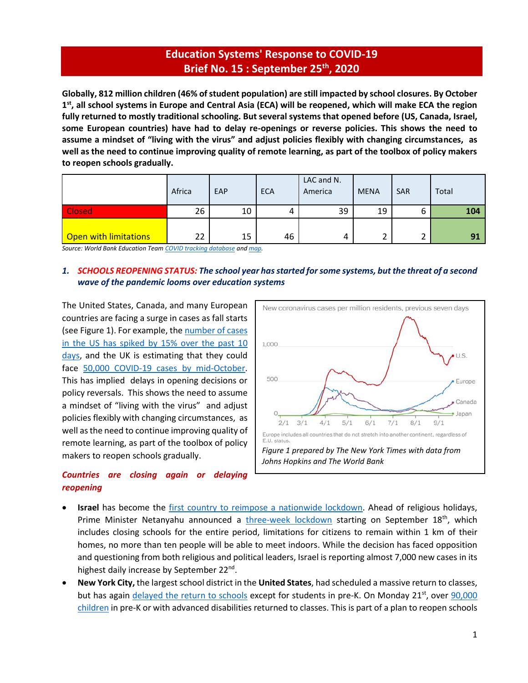# **Education Systems' Response to COVID-19 Brief No. 15 : September 25 th , 2020**

**Globally, 812 million children (46% of student population) are still impacted by school closures. By October 1 st , all school systems in Europe and Central Asia (ECA) will be reopened, which will make ECA the region fully returned to mostly traditional schooling. But several systems that opened before (US, Canada, Israel, some European countries) have had to delay re-openings or reverse policies. This shows the need to assume a mindset of "living with the virus" and adjust policies flexibly with changing circumstances, as well as the need to continue improving quality of remote learning, as part of the toolbox of policy makers to reopen schools gradually.**

|                              | Africa | EAP | <b>ECA</b> | LAC and N.<br>America | <b>MENA</b> | <b>SAR</b> | Total |
|------------------------------|--------|-----|------------|-----------------------|-------------|------------|-------|
| <b>Closed</b>                | 26     | 10  |            | 39                    | 19          | ь          | 104   |
| <b>Open with limitations</b> | 22     | 15  | 46         | 4                     |             | ▵          | 91    |

*Source: World Bank Education Tea[m COVID tracking database](https://worldbankgroup-my.sharepoint.com/:x:/g/personal/tshmis_worldbank_org/EehfzqvLAm5CkGYQliGgCRQBmZg3meDaj5ZnpU4URJDX-g?e=bg0hMT) and [map.](https://tab.worldbank.org/#/site/WBG/views/covid19/dsh_simple?:showAppBanner=false&:display_count=n&:showVizHome=n&:origin=viz_share_link&:iid=1)* 

## *1. SCHOOLS REOPENING STATUS: The school year has started for some systems, but the threat of a second wave of the pandemic looms over education systems*

The United States, Canada, and many European countries are facing a surge in cases as fall starts (see Figure 1). For example, the number of cases [in the US has spiked by 15% over the past 10](https://www.nytimes.com/2020/09/22/briefing/schools-supreme-court-china-your-tuesday-briefing.html)  [days,](https://www.nytimes.com/2020/09/22/briefing/schools-supreme-court-china-your-tuesday-briefing.html) and the UK is estimating that they could face 50,000 COVID-19 [cases by mid-October.](https://www.washingtonpost.com/world/europe/britain-could-face-50000-coronavirus-cases-per-day-by-mid-october-warn-top-government-scientists/2020/09/21/a339bad0-fbe1-11ea-b0e4-350e4e60cc91_story.html?utm_campaign=wp_to_your_health&utm_medium=email&utm_source=newsletter&wpisrc=nl_tyh&wpmk=1&pwapi_token=eyJ0eXAiOiJKV1QiLCJhbGciOiJIUzI1NiJ9.eyJjb29raWVuYW1lIjoid3BfY3J0aWQiLCJpc3MiOiJDYXJ0YSIsImNvb2tpZXZhbHVlIjoiNWU3OTczNWRhZTdlOGE1OTQ4MjdjMjE4IiwidGFnIjoiNWY2OTBiOGE5ZDJmZGEyYzM2OWNhNDRkIiwidXJsIjoiaHR0cHM6Ly93d3cud2FzaGluZ3RvbnBvc3QuY29tL3dvcmxkL2V1cm9wZS9icml0YWluLWNvdWxkLWZhY2UtNTAwMDAtY29yb25hdmlydXMtY2FzZXMtcGVyLWRheS1ieS1taWQtb2N0b2Jlci13YXJuLXRvcC1nb3Zlcm5tZW50LXNjaWVudGlzdHMvMjAyMC8wOS8yMS9hMzM5YmFkMC1mYmUxLTExZWEtYjBlNC0zNTBlNGU2MGNjOTFfc3RvcnkuaHRtbD91dG1fY2FtcGFpZ249d3BfdG9feW91cl9oZWFsdGgmdXRtX21lZGl1bT1lbWFpbCZ1dG1fc291cmNlPW5ld3NsZXR0ZXImd3Bpc3JjPW5sX3R5aCZ3cG1rPTEifQ.OJQhXLXXFmors5F60A4KmbLv9g9nIUIQXdX9hpKUxz8) This has implied delays in opening decisions or policy reversals. This shows the need to assume a mindset of "living with the virus" and adjust policies flexibly with changing circumstances, as well as the need to continue improving quality of remote learning, as part of the toolbox of policy makers to reopen schools gradually.

## *Countries are closing again or delaying reopening*



- **Israel** has become the [first country to reimpose a nationwide lockdown.](https://time.com/5889096/israel-second-lockdown-covid-19/) Ahead of religious holidays, Prime Minister Netanyahu announced a *[three-week lockdown](https://www.bbc.com/news/world-middle-east-54201834)* starting on September 18<sup>th</sup>, which includes closing schools for the entire period, limitations for citizens to remain within 1 km of their homes, no more than ten people will be able to meet indoors. While the decision has faced opposition and questioning from both religious and political leaders, Israel is reporting almost 7,000 new cases in its highest daily increase by September 22<sup>nd</sup>.
- **New York City,** the largest school district in the **United States**, had scheduled a massive return to classes, but has again [delayed the return to schools](https://www.nytimes.com/2020/09/17/nyregion/nyc-schools-reopening.html?campaign_id=9&emc=edit_nn_20200918&instance_id=22298&nl=the-morning®i_id=140284942§ion_index=2§ion_name=two_more_big_stories&segment_id=38446&te=1&user_id=f657117f3fbf8484d274d38b7eb35187) except for students in pre-K. On Monday 21<sup>st</sup>, over 90,000 [children](https://nl.nytimes.com/f/newsletter/1IaWa6J3KRoZtxSakI17MA~~/AAAAAQA~/RgRhTFmfP4QGAWh0dHBzOi8vd3d3Lm55dGltZXMuY29tLzIwMjAvMDkvMjEvbnlyZWdpb24vcHJlay1zY2hvb2wtcmVvcGVuaW5nLW55Yy5odG1sP2NhbXBhaWduX2lkPTkmZW1jPWVkaXRfbm5fMjAyMDA5MjImaW5zdGFuY2VfaWQ9MjI0MDUmbmw9dGhlLW1vcm5pbmcmcmVnaV9pZD0xNDAyODQ5NDImc2VjdGlvbl9pbmRleD0xJnNlY3Rpb25fbmFtZT1iaWdfc3Rvcnkmc2VnbWVudF9pZD0zODY5NiZ0ZT0xJnVzZXJfaWQ9ZjY1NzExN2YzZmJmODQ4NGQyNzRkMzhiN2ViMzUxODdXA255dEIKACif1Glfqx4TVlIWbWFyaWFiYXJyb25yQGdtYWlsLmNvbVgEAAAAAA~~) in pre-K or with advanced disabilities returned to classes. This is part of a plan to reopen schools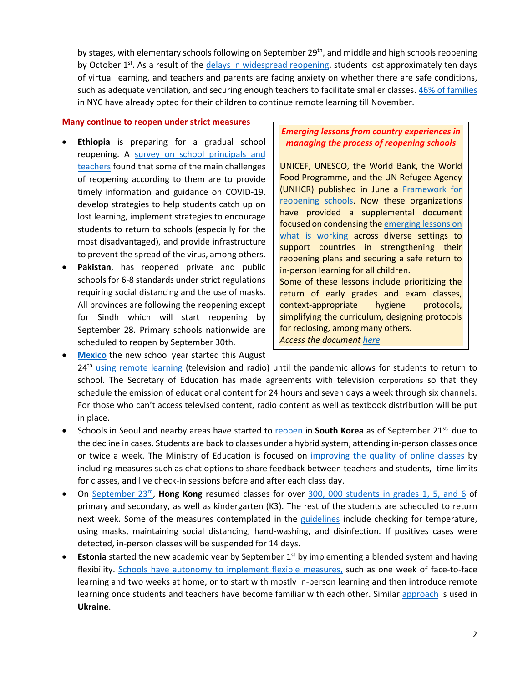by stages, with elementary schools following on September 29<sup>th</sup>, and middle and high schools reopening by October 1<sup>st</sup>. As a result of the *delays in widespread reopening*, students lost approximately ten days of virtual learning, and teachers and parents are facing anxiety on whether there are safe conditions, such as adequate ventilation, and securing enough teachers to facilitate smaller classes[. 46% of families](https://www.nytimes.com/2020/09/21/nyregion/prek-school-reopening-nyc.html?campaign_id=9&emc=edit_nn_20200922&instance_id=22405&nl=the-morning®i_id=140284942§ion_index=1§ion_name=big_story&segment_id=38696&te=1&user_id=f657117f3fbf8484d274d38b7eb35187) in NYC have already opted for their children to continue remote learning till November.

#### **Many continue to reopen under strict measures**

- **Ethiopia** is preparing for a gradual school reopening. A survey on school principals and [teachers](https://riseprogramme.org/blog/reopening-schools-ethiopia-perspectives) found that some of the main challenges of reopening according to them are to provide timely information and guidance on COVID-19, develop strategies to help students catch up on lost learning, implement strategies to encourage students to return to schools (especially for the most disadvantaged), and provide infrastructure to prevent the spread of the virus, among others.
- **Pakistan**, has reopened private and public schools for 6-8 standards under strict regulations requiring social distancing and the use of masks. All provinces are following the reopening except for Sindh which will start reopening by September 28. Primary schools nationwide are scheduled to reopen by September 30th.

## *Emerging lessons from country experiences in managing the process of reopening schools*

UNICEF, UNESCO, the World Bank, the World Food Programme, and the UN Refugee Agency (UNHCR) published in June a [Framework for](https://www.unicef.org/documents/framework-reopening-schools)  [reopening schools.](https://www.unicef.org/documents/framework-reopening-schools) Now these organizations have provided a supplemental document focused on condensing th[e emerging lessons on](http://pubdocs.worldbank.org/en/281371600700872821/Framework-for-Reopening-Schools-SEPTEMBER19.pdf)  [what is working](http://pubdocs.worldbank.org/en/281371600700872821/Framework-for-Reopening-Schools-SEPTEMBER19.pdf) across diverse settings to support countries in strengthening their reopening plans and securing a safe return to in-person learning for all children. Some of these lessons include prioritizing the return of early grades and exam classes, context-appropriate hygiene protocols, simplifying the curriculum, designing protocols for reclosing, among many others. *Access the document [here](http://pubdocs.worldbank.org/en/281371600700872821/Framework-for-Reopening-Schools-SEPTEMBER19.pdf)*

- [Mexico](https://listindiario.com/las-mundiales/2020/08/03/629094/mexico-comenzara-el-nuevo-curso-escolar-a-distancia-el-24-de-agosto) the new school year started this August 24<sup>th</sup> [using remote learning](https://www.infobae.com/america/mexico/2020/08/13/sep-este-es-el-calendario-escolar-oficial-para-educacion-basica/#:~:text=El%20ciclo%20escolar%202020%2D2021,sin%20clases%20por%20labores%20administrativas.) (television and radio) until the pandemic allows for students to return to school. The Secretary of Education has made agreements with television corporations so that they schedule the emission of educational content for 24 hours and seven days a week through six channels. For those who can't access televised content, radio content as well as textbook distribution will be put in place.
- Schools in Seoul and nearby areas have started to [reopen](https://uk.reuters.com/article/uk-health-coronavirus-southkorea/seoul-schools-resume-in-person-classes-as-south-korea-coronavirus-cases-dip-idUKKCN26C0AI?il=0) in **South Korea** as of September 21st. due to the decline in cases. Students are back to classes under a hybrid system, attending in-person classes once or twice a week. The Ministry of Education is focused on [improving the quality of online classes](http://www.koreaherald.com/view.php?ud=20200915000838) by including measures such as chat options to share feedback between teachers and students, time limits for classes, and live check-in sessions before and after each class day.
- On [September 23](https://www.youtube.com/watch?v=hKuSxCXWhyU)<sup>rd</sup>, Hong Kong resumed classes for over [300, 000 students](https://www.scmp.com/news/china/science/article/3102158/coronavirus-constantly-surprising-virus-found-be-heat-tolerant) in grades 1, 5, and 6 of primary and secondary, as well as kindergarten (K3). The rest of the students are scheduled to return next week. Some of the measures contemplated in the [guidelines](https://www.scmp.com/news/hong-kong/education/article/3100321/class-suspensions-and-early-pickups-hong-kong-schools-get) include checking for temperature, using masks, maintaining social distancing, hand-washing, and disinfection. If positives cases were detected, in-person classes will be suspended for 14 days.
- **Estonia** started the new academic year by September 1<sup>st</sup> by implementing a blended system and having flexibility. [Schools have autonomy to implement](https://news.err.ee/1131177/new-academic-year-alternating-distance-and-contact-learning) flexible measures, such as one week of face-to-face learning and two weeks at home, or to start with mostly in-person learning and then introduce remote learning once students and teachers have become familiar with each other. Similar [approach](https://education.24tv.ua/ru/1-sentjabrja-v-ukraine-kak-otkrylis-shkoly-dengi-na-covid-19_n1405945) is used in **Ukraine**.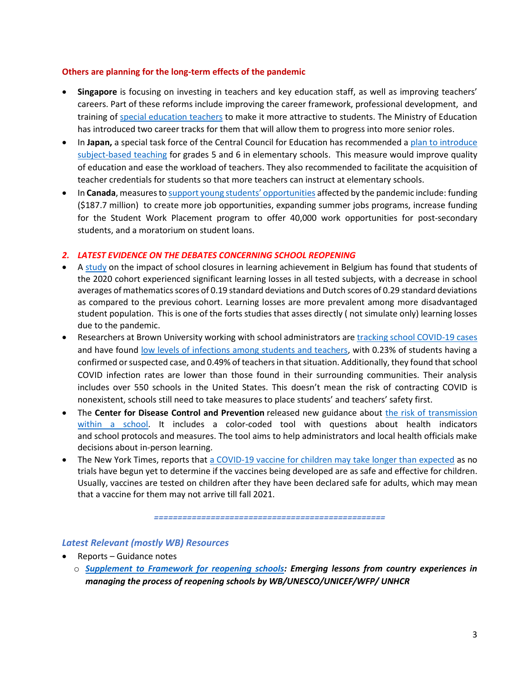### **Others are planning for the long-term effects of the pandemic**

- **Singapore** is focusing on investing in teachers and key education staff, as well as improving teachers' careers. Part of these reforms include improving the career framework, professional development, and training of [special education teachers](https://www.straitstimes.com/forum/strong-support-for-training-needs-of-special-education-teachers) to make it more attractive to students. The Ministry of Education has introduced two career tracks for them that will allow them to progress into more senior roles.
- In Japan, a special task force of the Central Council for Education has recommended a plan to introduce [subject-based teaching](https://mainichi.jp/english/articles/20200821/p2a/00m/0na/009000c) for grades 5 and 6 in elementary schools. This measure would improve quality of education and ease the workload of teachers. They also recommended to facilitate the acquisition of teacher credentials for students so that more teachers can instruct at elementary schools.
- In **Canada**, measures to [support young students' opportunities](https://www.newswire.ca/news-releases/government-of-canada-covid-19-measures-delivering-support-for-young-people-this-fall-804092528.html) affected by the pandemic include: funding (\$187.7 million) to create more job opportunities, expanding summer jobs programs, increase funding for the Student Work Placement program to offer 40,000 work opportunities for post-secondary students, and a moratorium on student loans.

### *2. LATEST EVIDENCE ON THE DEBATES CONCERNING SCHOOL REOPENING*

- A [study](https://feb.kuleuven.be/research/economics/ces/documents/DPS/2020/dps2017.pdf) on the impact of school closures in learning achievement in Belgium has found that students of the 2020 cohort experienced significant learning losses in all tested subjects, with a decrease in school averages of mathematics scores of 0.19 standard deviations and Dutch scores of 0.29 standard deviations as compared to the previous cohort. Learning losses are more prevalent among more disadvantaged student population. This is one of the forts studies that asses directly ( not simulate only) learning losses due to the pandemic.
- Researchers at Brown University working with school administrators are [tracking school COVID-19 cases](https://statsiq.co1.qualtrics.com/public-dashboard/v0/dashboard/5f62eaee4451ae001535c839#/dashboard/5f62eaee4451ae001535c839?pageId=Page_1ac6a6bc-92b6-423e-9f7a-259a18648318) and have found [low levels of infections among students and teachers,](https://www.washingtonpost.com/education/feared-covid-outbreaks-in-schools-yet-to-arrive-early-data-shows/2020/09/23/0509bb84-fd22-11ea-b555-4d71a9254f4b_story.html?utm_campaign=wp_to_your_health&utm_medium=email&utm_source=newsletter&wpisrc=nl_tyh&wpmk=1&pwapi_token=eyJ0eXAiOiJKV1QiLCJhbGciOiJIUzI1NiJ9.eyJjb29raWVuYW1lIjoid3BfY3J0aWQiLCJpc3MiOiJDYXJ0YSIsImNvb2tpZXZhbHVlIjoiNWU3OTczNWRhZTdlOGE1OTQ4MjdjMjE4IiwidGFnIjoiNWY2YmIwMmY5ZDJmZGEyYzM2OWU4MTBjIiwidXJsIjoiaHR0cHM6Ly93d3cud2FzaGluZ3RvbnBvc3QuY29tL2VkdWNhdGlvbi9mZWFyZWQtY292aWQtb3V0YnJlYWtzLWluLXNjaG9vbHMteWV0LXRvLWFycml2ZS1lYXJseS1kYXRhLXNob3dzLzIwMjAvMDkvMjMvMDUwOWJiODQtZmQyMi0xMWVhLWI1NTUtNGQ3MWE5MjU0ZjRiX3N0b3J5Lmh0bWw_dXRtX2NhbXBhaWduPXdwX3RvX3lvdXJfaGVhbHRoJnV0bV9tZWRpdW09ZW1haWwmdXRtX3NvdXJjZT1uZXdzbGV0dGVyJndwaXNyYz1ubF90eWgmd3Btaz0xIn0.wjjEFpinvWvGo2NY8CQImyenMZ7YzcswSMx5yCM8hfU) with 0.23% of students having a confirmed or suspected case, and 0.49% of teachers in that situation. Additionally, they found that school COVID infection rates are lower than those found in their surrounding communities. Their analysis includes over 550 schools in the United States. This doesn't mean the risk of contracting COVID is nonexistent, schools still need to take measures to place students' and teachers' safety first.
- The **Center for Disease Control and Prevention** released new guidance about [the risk of transmission](https://www.cdc.gov/media/releases/2020/p0915-dynamic-school-decision-making-infographic.html)  [within a](https://www.cdc.gov/media/releases/2020/p0915-dynamic-school-decision-making-infographic.html) school. It includes a color-coded tool with questions about health indicators and school protocols and measures. The tool aims to help administrators and local health officials make decisions about in-person learning.
- The New York Times, reports that a COVID-19 vaccine [for children may take longer than expected](https://www.nytimes.com/2020/09/21/parenting/kids-vaccine-coronavirus.html?campaign_id=174&emc=edit_csb_20200923&instance_id=22450&nl=coronavirus-schools-briefing®i_id=140284942&segment_id=38820&te=1&user_id=f657117f3fbf8484d274d38b7eb35187) as no trials have begun yet to determine if the vaccines being developed are as safe and effective for children. Usually, vaccines are tested on children after they have been declared safe for adults, which may mean that a vaccine for them may not arrive till fall 2021.

*=================================================*

### *Latest Relevant (mostly WB) Resources*

- Reports Guidance notes
	- o *[Supplement to Framework for reopening schools:](http://pubdocs.worldbank.org/en/281371600700872821/Framework-for-Reopening-Schools-SEPTEMBER19.pdf) Emerging lessons from country experiences in managing the process of reopening schools by WB/UNESCO/UNICEF/WFP/ UNHCR*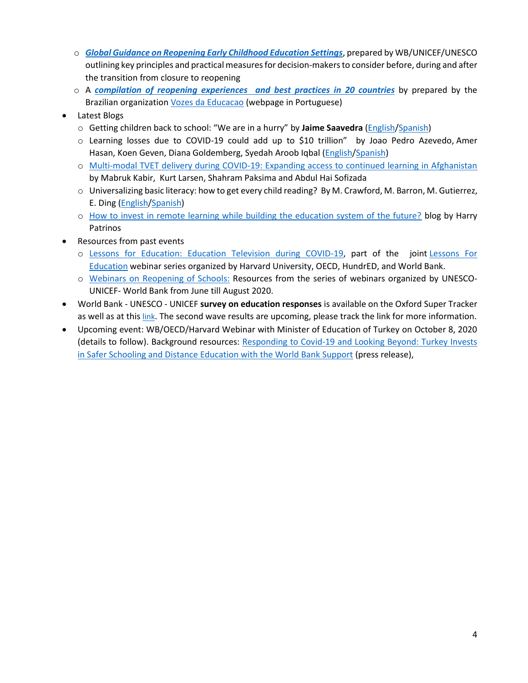- o *[Global Guidance on Reopening Early Childhood Education Settings](http://pubdocs.worldbank.org/en/711761600700878007/Global-Guidance-for-Reopening-ECE-Settings-Final-send.pdf)*, prepared by WB/UNICEF/UNESCO outlining key principles and practical measures for decision-makers to consider before, during and after the transition from closure to reopening
- o A *[compilation of reopening experiences and best practices in 20 countries](https://drive.google.com/file/d/1m4cohdUr0dxVXs4r-Nseuk4PVHkgdjTw/view)* by prepared by the Brazilian organization [Vozes da Educacao](http://educacaoecoronavirus.com.br/ficha-tecnica/) (webpage in Portuguese)
- Latest Blogs
	- o Getting children back to school: "We are in a hurry" by **Jaime Saavedra** [\(English](https://blogs.worldbank.org/education/getting-children-back-school-we-are-hurry)[/Spanish\)](https://blogs.worldbank.org/es/education/lograr-que-los-ninos-vuelvan-la-escuela-tenemos-prisa)
	- o Learning losses due to COVID-19 could add up to \$10 trillion" by Joao [Pedro Azevedo,](https://blogs.worldbank.org/team/joao-pedro-azevedo) [Amer](https://blogs.worldbank.org/team/amer-hasan)  [Hasan,](https://blogs.worldbank.org/team/amer-hasan) [Koen Geven,](https://blogs.worldbank.org/team/koen-geven) [Diana Goldemberg,](https://blogs.worldbank.org/team/diana-goldemberg) [Syedah Aroob Iqbal](https://blogs.worldbank.org/team/syedah-aroob-iqbal) [\(English/](https://blogs.worldbank.org/education/learning-losses-due-covid19-could-add-10-trillion)[Spanish\)](https://blogs.worldbank.org/es/education/las-perdidas-de-aprendizajes-debidas-al-covid-19-podrian-sumar-hasta-10-billones-de)
	- o [Multi-modal TVET delivery during COVID-19: Expanding access to continued learning in Afghanistan](https://blogs.worldbank.org/education/multi-modal-tvet-delivery-during-covid-19-expanding-access-continued-learning-afghanistan) by [Mabruk Kabir,](https://blogs.worldbank.org/team/mabruk-kabir) [Kurt Larsen,](https://blogs.worldbank.org/team/kurt-larsen) [Shahram Paksima](https://blogs.worldbank.org/team/shahram-paksima) and [Abdul Hai Sofizada](https://blogs.worldbank.org/team/abdul-hai-sofizada)
	- o Universalizing basic literacy: how to get every child reading? By M. Crawford, M. Barron, M. Gutierrez, E. Ding [\(English/](https://blogs.worldbank.org/education/universalizing-basic-literacy-how-get-every-child-reading)[Spanish\)](https://blogs.worldbank.org/es/education/la-universalizacion-de-la-alfabetizacion-basica-como-lograr-que-todos-los-ninos-lean)
	- o [How to invest in remote learning while building the education system of the future?](https://blogs.worldbank.org/education/how-invest-remote-learning-while-building-education-system-future) blog by Harry Patrinos
- Resources from past events
	- o [Lessons for Education: Education Television during COVID-19,](https://worldbanhttps/www.worldbank.org/en/events/2020/09/08/lessons-for-education-education-television-during-covid-19#2kgroup-my.sharepoint.com/personal/mbarronrodriguez_worldbank_org/Documents/Documents/11%20pages%20for%20the%20glossy%20%20MFC%202019-09-12%2011am%20ED_MB.docx) part of the joint [Lessons For](https://oecdedutoday.com/coronavirus)  [Education](https://oecdedutoday.com/coronavirus) webinar series organized by Harvard University, OECD, HundrED, and World Bank.
	- o [Webinars on Reopening of Schools:](https://en.unesco.org/events/joint-unesco-unicef-world-bank-webinar-series-reopening-schools#:~:text=The%20joint%20webinar%20series%20is,the%20Global%20Education%20Coalition) Resources from the series of webinars organized by UNESCO-UNICEF- World Bank from June till August 2020.
- World Bank UNESCO UNICEF **survey on education responses** is available on the Oxford Super Tracker as well as at this [link](http://tcg.uis.unesco.org/survey-education-covid-school-closures/). The second wave results are upcoming, please track the link for more information.
- Upcoming event: WB/OECD/Harvard Webinar with Minister of Education of Turkey on October 8, 2020 (details to follow). Background resources: [Responding to Covid-19 and Looking Beyond: Turkey Invests](https://www.worldbank.org/en/events/2020/09/24/responding-to-covid-19-looking-beyond-lessons-from-turkeys-education-emergency-response-digital-education-reforms-for-new-way-of-teaching-learning#2)  [in Safer Schooling and Distance Education with the World Bank Support](https://www.worldbank.org/en/events/2020/09/24/responding-to-covid-19-looking-beyond-lessons-from-turkeys-education-emergency-response-digital-education-reforms-for-new-way-of-teaching-learning#2) (press release),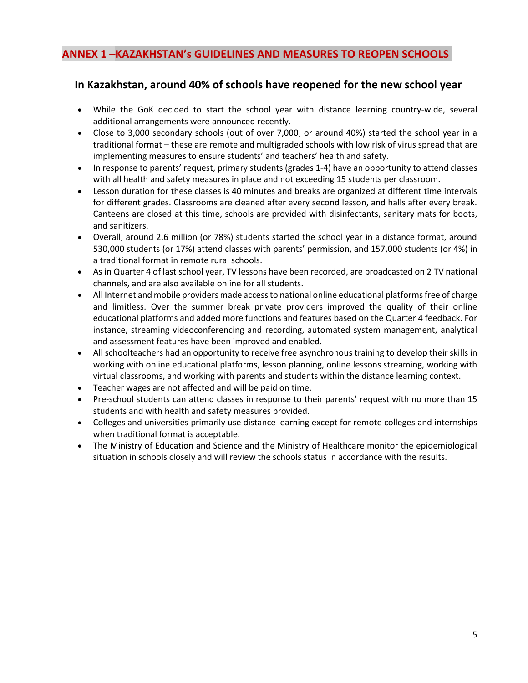## **ANNEX 1 –KAZAKHSTAN's GUIDELINES AND MEASURES TO REOPEN SCHOOLS**

## **In Kazakhstan, around 40% of schools have reopened for the new school year**

- While the GoK decided to start the school year with distance learning country-wide, several additional arrangements were announced recently.
- Close to 3,000 secondary schools (out of over 7,000, or around 40%) started the school year in a traditional format – these are remote and multigraded schools with low risk of virus spread that are implementing measures to ensure students' and teachers' health and safety.
- In response to parents' request, primary students (grades 1-4) have an opportunity to attend classes with all health and safety measures in place and not exceeding 15 students per classroom.
- Lesson duration for these classes is 40 minutes and breaks are organized at different time intervals for different grades. Classrooms are cleaned after every second lesson, and halls after every break. Canteens are closed at this time, schools are provided with disinfectants, sanitary mats for boots, and sanitizers.
- Overall, around 2.6 million (or 78%) students started the school year in a distance format, around 530,000 students (or 17%) attend classes with parents' permission, and 157,000 students (or 4%) in a traditional format in remote rural schools.
- As in Quarter 4 of last school year, TV lessons have been recorded, are broadcasted on 2 TV national channels, and are also available online for all students.
- All Internet and mobile providers made access to national online educational platforms free of charge and limitless. Over the summer break private providers improved the quality of their online educational platforms and added more functions and features based on the Quarter 4 feedback. For instance, streaming videoconferencing and recording, automated system management, analytical and assessment features have been improved and enabled.
- All schoolteachers had an opportunity to receive free asynchronous training to develop their skills in working with online educational platforms, lesson planning, online lessons streaming, working with virtual classrooms, and working with parents and students within the distance learning context.
- Teacher wages are not affected and will be paid on time.
- Pre-school students can attend classes in response to their parents' request with no more than 15 students and with health and safety measures provided.
- Colleges and universities primarily use distance learning except for remote colleges and internships when traditional format is acceptable.
- The Ministry of Education and Science and the Ministry of Healthcare monitor the epidemiological situation in schools closely and will review the schools status in accordance with the results.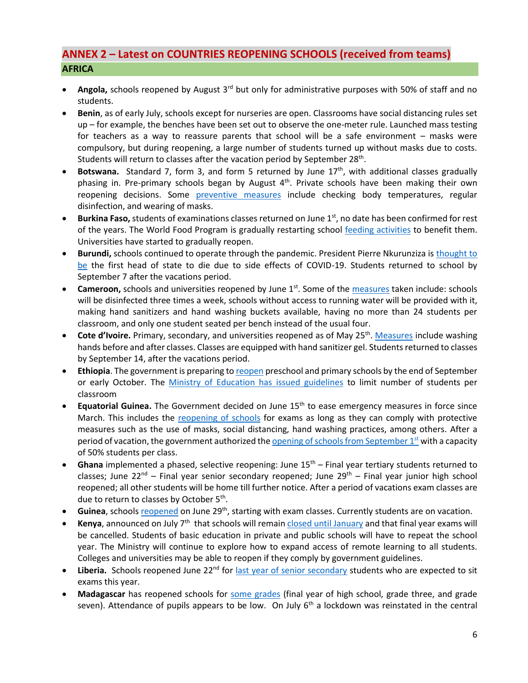# **ANNEX 2 – Latest on COUNTRIES REOPENING SCHOOLS (received from teams) AFRICA**

- **Angola,** schools reopened by August 3rd but only for administrative purposes with 50% of staff and no students.
- **Benin**, as of early July, schools except for nurseries are open. Classrooms have social distancing rules set up – for example, the benches have been set out to observe the one-meter rule. Launched mass testing for teachers as a way to reassure parents that school will be a safe environment – masks were compulsory, but during reopening, a large number of students turned up without masks due to costs. Students will return to classes after the vacation period by September 28<sup>th</sup>.
- **Botswana.** Standard 7, form 3, and form 5 returned by June 17<sup>th</sup>, with additional classes gradually phasing in. Pre-primary schools began by August  $4<sup>th</sup>$ . Private schools have been making their own reopening decisions. Some [preventive measures](https://www.bbc.com/news/topics/c77jz3mdqypt/botswana) include checking body temperatures, regular disinfection, and wearing of masks.
- **Burkina Faso,** students of examinations classes returned on June 1<sup>st</sup>, no date has been confirmed for rest of the years. The World Food Program is gradually restarting school [feeding activities](https://reliefweb.int/report/burkina-faso/wfp-burkina-faso-emergency-response-situation-report-13-19-june-2020) to benefit them. Universities have started to gradually reopen.
- **Burundi,** schools continued to operate through the pandemic. President Pierre Nkurunziza is [thought to](https://www.ft.com/content/a232c62b-ded1-4dd4-8ca7-a5bb5214987f)  [be](https://www.ft.com/content/a232c62b-ded1-4dd4-8ca7-a5bb5214987f) the first head of state to die due to side effects of COVID-19. Students returned to school by September 7 after the vacations period.
- **Cameroon,** schools and universities reopened by June 1<sup>st</sup>. Some of the [measures](https://www.voanews.com/africa/cameroon-opens-schools-amid-covid-19-spike) taken include: schools will be disinfected three times a week, schools without access to running water will be provided with it, making hand sanitizers and hand washing buckets available, having no more than 24 students per classroom, and only one student seated per bench instead of the usual four.
- Cote d'Ivoire. Primary, secondary, and universities reopened as of May 25<sup>th</sup>. [Measures](https://www.reuters.com/article/us-health-coronavirus-ivorycoast-educati/ivory-coast-children-head-back-to-school-after-virus-shutdown-idUSKBN2311FC) include washing hands before and after classes. Classes are equipped with hand sanitizer gel. Students returned to classes by September 14, after the vacations period.
- **Ethiopia**. The government is preparing t[o reopen](https://www.ena.et/?p=100689&fbclid=IwAR1xKYY4x4wJw6y1y5SfbQaLY87mweq9uXvTndOL--L77v0T2lWDP2DzoZw) preschool and primary schools by the end of September or early October. The [Ministry of Education has issued guidelines](https://allafrica.com/stories/202009100812.html) to limit number of students per classroom
- **Equatorial Guinea.** The Government decided on June 15<sup>th</sup> to ease emergency measures in force since March. This includes the [reopening](https://www.africanews.com/2020/06/17/legal-alert-understanding-the-dos-and-donts-of-equatorial-guineas-deconfinement-measures/) of schools for exams as long as they can comply with protective measures such as the use of masks, social distancing, hand washing practices, among others. After a period of vacation, the government authorized the opening of schools from September  $1<sup>st</sup>$  with a capacity of 50% students per class.
- Ghana implemented a phased, selective reopening: June 15<sup>th</sup> Final year tertiary students returned to classes; June 22<sup>nd</sup> – Final year senior secondary reopened; June 29<sup>th</sup> – Final year junior high school reopened; all other students will be home till further notice. After a period of vacations exam classes are due to return to classes by October 5<sup>th</sup>.
- **Guinea**, school[s reopened](https://reliefweb.int/report/guinea/guinea-coronavirus-covid-19-situation-report-no-11-24-june-7-july-2020) on June 29th, starting with exam classes. Currently students are on vacation.
- **Kenya**, announced on July 7th that schools will remai[n closed until](https://www.bbc.com/news/world-africa-53325741) January and that final year exams will be cancelled. Students of basic education in private and public schools will have to repeat the school year. The Ministry will continue to explore how to expand access of remote learning to all students. Colleges and universities may be able to reopen if they comply by government guidelines.
- Liberia. Schools reopened June 22<sup>nd</sup> for [last year of senior secondary](https://allafrica.com/stories/202007170728.html) students who are expected to sit exams this year.
- **Madagascar** has reopened schools for [some grades](https://reliefweb.int/sites/reliefweb.int/files/resources/UNICEF%20Madagascar%20COVID-19%20Situation%20Report%20for%207%20July%202020.pdf) (final year of high school, grade three, and grade seven). Attendance of pupils appears to be low. On July  $6<sup>th</sup>$  a lockdown was reinstated in the central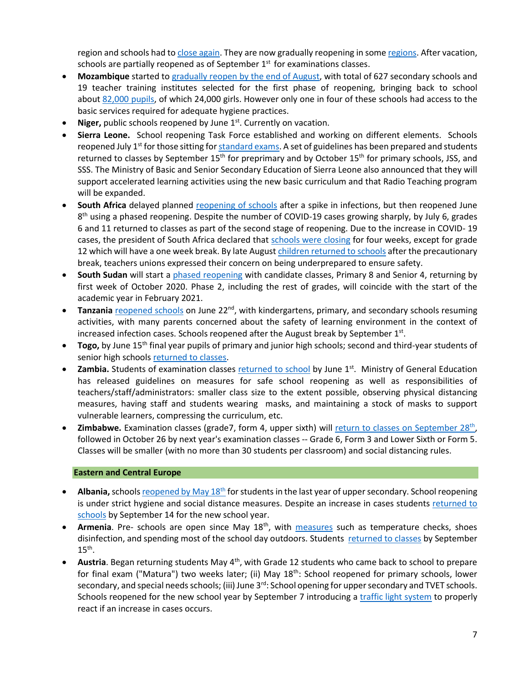region and schools had to [close again.](https://www.cnn.com/2020/07/06/africa/madagascar-lockdown-coronavirus-intl/index.html) They are now gradually reopening in som[e regions.](https://reliefweb.int/report/madagascar/madagascar-country-office-covid-19-response-13-august-2020) After vacation, schools are partially reopened as of September  $1<sup>st</sup>$  for examinations classes.

- **Mozambique** started to gradually reopen [by the end of August,](https://blogs.worldbank.org/water/times-covid-19-future-education-depends-provision-water-sanitation-and-hygiene-services) with total of 627 secondary schools and 19 teacher training institutes selected for the first phase of reopening, bringing back to school about [82,000 pupils,](http://www.mined.gov.mz/STATS/Pages/3Marco.aspx) of which 24,000 girls. However only one in four of these schools had access to the basic services required for adequate hygiene practices.
- **Niger,** public schools reopened by June 1<sup>st</sup>. Currently on vacation.
- **Sierra Leone.** School reopening Task Force established and working on different elements. Schools reopened July 1<sup>st</sup> for those sitting fo[r standard exams.](http://slconcordtimes.com/opinion-20/) A set of guidelines has been prepared and students returned to classes by September 15<sup>th</sup> for preprimary and by October 15<sup>th</sup> for primary schools, JSS, and SSS. The Ministry of Basic and Senior Secondary Education of Sierra Leone also announced that they will support accelerated learning activities using the new basic curriculum and that Radio Teaching program will be expanded.
- **South Africa** delayed planned [reopening](https://medicalxpress.com/news/2020-07-south-africa-phase-reopening-schools.html) of schools after a spike in infections, but then reopened June 8<sup>th</sup> using a phased reopening. Despite the number of COVID-19 cases growing sharply, by July 6, grades 6 and 11 returned to classes as part of the second stage of reopening. Due to the increase in COVID- 19 cases, the president of South Africa declared that [schools were closing](https://www.voanews.com/covid-19-pandemic/south-africa-schools-close-4-weeks-curb-coronavirus) for four weeks, except for grade 12 which will have a one week break. By late Augus[t children returned to schools](https://www.aa.com.tr/en/africa/south-africa-teachers-voice-concern-as-schools-reopen/1952118) after the precautionary break, teachers unions expressed their concern on being underprepared to ensure safety.
- **South Sudan** will start a [phased reopening](https://reliefweb.int/report/south-sudan/unicef-and-unesco-welcome-decision-reopen-schools-south-sudan) with candidate classes, Primary 8 and Senior 4, returning by first week of October 2020. Phase 2, including the rest of grades, will coincide with the start of the academic year in February 2021.
- **Tanzania** [reopened schools](https://africa.cgtn.com/2020/06/29/tanzanian-schools-reopen-with-strict-health-guidelines/) on June 22<sup>nd</sup>, with kindergartens, primary, and secondary schools resuming activities, with many parents concerned about the safety of learning environment in the context of increased infection cases. Schools reopened after the August break by September  $1<sup>st</sup>$ .
- **Togo,** by June 15<sup>th</sup> final year pupils of primary and junior high schools; second and third-year students of senior high school[s returned to classes.](https://www.togofirst.com/en/education/1306-5718-schools-reopen-on-june-15-2020)
- Zambia. Students of examination classes [returned to school](http://www.xinhuanet.com/english/2020-06/01/c_139105832.htm) by June 1<sup>st</sup>. Ministry of General Education has released guidelines on measures for safe school reopening as well as responsibilities of teachers/staff/administrators: smaller class size to the extent possible, observing physical distancing measures, having staff and students wearing masks, and maintaining a stock of masks to support vulnerable learners, compressing the curriculum, etc.
- **Zimbabwe.** Examination classes (grade7, form 4, upper sixth) will [return to classes on September 28](https://allafrica.com/stories/202009230503.html)<sup>th</sup>, followed in October 26 by next year's examination classes -- Grade 6, Form 3 and Lower Sixth or Form 5. Classes will be smaller (with no more than 30 students per classroom) and social distancing rules.

#### **Eastern and Central Europe**

- **Albania,** school[s reopened by May 18](https://www.albaniandailynews.com/index.php?idm=42211&mod=2)<sup>th</sup> for students in the last year of upper secondary. School reopening is under strict hygiene and social distance measures. Despite an increase in cases students [returned](https://balkaninsight.com/2020/08/20/albania-to-open-schools-in-september-despite-covid-19-risks/) to [schools](https://balkaninsight.com/2020/08/20/albania-to-open-schools-in-september-despite-covid-19-risks/) by September 14 for the new school year.
- Armenia. Pre- schools are open since May 18<sup>th</sup>, with [measures](https://en.armradio.am/2020/05/20/kindergartens-in-yerevan-reopen-after-a-two-month-lockdown/) such as temperature checks, shoes disinfection, and spending most of the school day outdoors. Students returned [to classes](https://jam-news.net/armenian-schools-will-open-epidemiologists-warn-authorities-rush/) by September  $15^{\text{th}}$ .
- **Austria**. Began returning students May 4th, with Grade 12 students who came back to school to prepare for final exam ("Matura") two weeks later; (ii) May 18<sup>th</sup>: School reopened for primary schools, lower secondary, and special needs schools; (iii) June  $3<sup>rd</sup>$ : School opening for upper secondary and TVET schools. Schools reopened for the new school year by September 7 introducing a [traffic light system](https://www.vindobona.org/article/austria-introduces-traffic-light-system-as-schools-are-reopening) to properly react if an increase in cases occurs.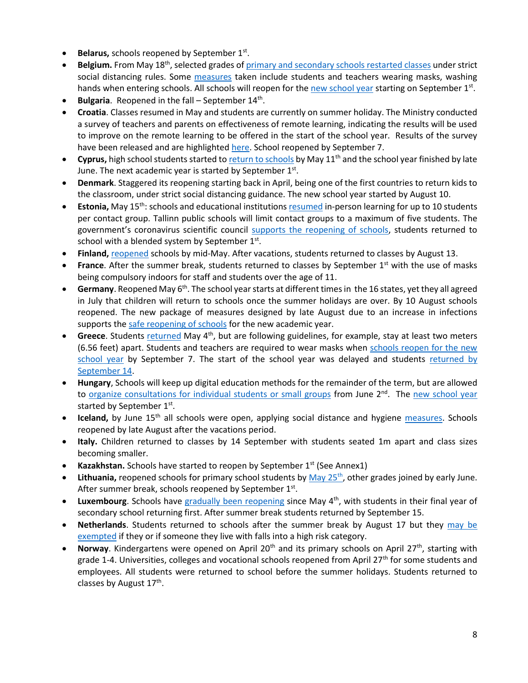- **Belarus, schools reopened by September 1st.**
- **Belgium.** From May 18th, selected grades o[f primary and secondary schools](https://www.politico.eu/article/belgium-lifts-its-lockdown-what-is-allowed-and-when/) restarted classes under strict social distancing rules. Some [measures](https://www.voanews.com/student-union/students-belgium-return-school-after-2-month-covid-break) taken include students and teachers wearing masks, washing hands when entering schools. All schools will reopen for the [new school year](https://www.politico.eu/article/coronavirus-all-belgian-schools-to-reopen-on-september-1/) starting on September 1<sup>st</sup>.
- **Bulgaria**. Reopened in the fall September 14<sup>th</sup>.
- **Croatia**. Classes resumed in May and students are currently on summer holiday. The Ministry conducted a survey of teachers and parents on effectiveness of remote learning, indicating the results will be used to improve on the remote learning to be offered in the start of the school year. Results of the survey have been released and are highlighte[d here.](https://www.croatiaweek.com/school-heads-and-teachers-in-croatia-satisfied-with-online-classes/) School reopened by September 7.
- **Cyprus,** high school students started t[o return to schools](https://www.weforum.org/agenda/2020/05/schools-education-lockdowns-coronavirus-covid19/) by May 11th and the school year finished by late June. The next academic year is started by September  $1<sup>st</sup>$ .
- **Denmark**. Staggered its reopening starting back in April, being one of the first countries to return kids to the classroom, under strict social distancing guidance. The new school year started by August 10.
- **Estonia,** May 15<sup>th</sup>: schools and educational institutions [resumed](https://ee.usembassy.gov/2020-05-08-5/%20https:/www.hm.ee/en/news/estonia-offers-its-digital-education-solutions-free-support-other-countries) in-person learning for up to 10 students per contact group. Tallinn public schools will limit contact groups to a maximum of five students. The government's coronavirus scientific council [supports the reopening of schools,](https://news.err.ee/1126830/coronavirus-scientific-council-supports-reopening-schools-on-september-1) students returned to school with a blended system by September  $1<sup>st</sup>$ .
- **Finland,** [reopened](https://www.reuters.com/article/us-health-coronavirus-finland/coronavirus-infections-slow-down-in-finland-despite-schools-opening-idUSKBN23B19K) schools by mid-May. After vacations, students returned to classes by August 13.
- France. After the summer break, students returned to classes by September 1<sup>st</sup> with the use of masks being compulsory indoors for staff and students over the age of 11.
- **Germany**. Reopened May 6<sup>th</sup>. The school year starts at different times in the 16 states, yet they all agreed in July that children will return to schools once the summer holidays are over. By 10 August schools reopened. The new package of measures designed by late August due to an increase in infections supports the [safe reopening of schools](https://www.wsj.com/articles/germany-hits-pause-on-reopening-amid-rising-covid-19-infections-11598545067) for the new academic year.
- Greece. Students [returned](https://www.brookings.edu/blog/order-from-chaos/2020/06/02/how-greece-can-reopen-without-ruining-its-coronavirus-containment-success/) May 4<sup>th</sup>, but are following guidelines, for example, stay at least two meters (6.56 feet) apart. Students and teachers are required to wear masks when [schools reopen for the new](https://www.reuters.com/article/us-health-coronavirus-greece-masks/greece-tells-students-to-wear-masks-when-schools-reopen-sept-7-idUSKBN25K1M8)  [school year](https://www.reuters.com/article/us-health-coronavirus-greece-masks/greece-tells-students-to-wear-masks-when-schools-reopen-sept-7-idUSKBN25K1M8) by September 7. The start of the school year was delayed and students returned by [September 14.](https://www.reuters.com/article/us-health-coronavirus-greece-education/greece-delays-school-reopening-to-sept-14-students-to-wear-masks-idUSKBN25S57M)
- **Hungary**, Schools will keep up digital education methods for the remainder of the term, but are allowed to [organize consultations for individual students or small groups](https://hungarytoday.hu/hungary-schools-open-coronavirus/) from June 2<sup>nd</sup>. The new school year started by September 1st.
- **Iceland,** by June 15<sup>th</sup> all schools were open, applying social distance and hygiene [measures.](https://www.icelandreview.com/ask-ir/whats-the-status-of-covid-19-in-iceland/) Schools reopened by late August after the vacations period.
- **Italy.** Children returned to classes by 14 September with students seated 1m apart and class sizes becoming smaller.
- **Kazakhstan.** Schools have started to reopen by September 1<sup>st</sup> (See Annex1)
- Lithuania, reopened schools for primary school students by [May 25](https://www.baltictimes.com/lithuania_s_lockdown_easing__wearing_face_masks_no_longer_mandatory_in_open_spaces/)<sup>th</sup>, other grades joined by early June. After summer break, schools reopened by September 1st.
- **Luxembourg**. Schools have [gradually been reopening](https://lu.usembassy.gov/covid-19-information/) since May 4<sup>th</sup>, with students in their final year of secondary school returning first. After summer break students returned by September 15.
- **Netherlands**. Students returned to schools after the summer break by August 17 but they [may be](https://www.government.nl/topics/coronavirus-covid-19/questions-about-coronavirus-and-the-education-sector)  [exempted](https://www.government.nl/topics/coronavirus-covid-19/questions-about-coronavirus-and-the-education-sector) if they or if someone they live with falls into a high risk category.
- Norway. Kindergartens were opened on April 20<sup>th</sup> and its primary schools on April 27<sup>th</sup>, starting with grade 1-4. Universities, colleges and vocational schools reopened from April 27<sup>th</sup> for some students and employees. All students were returned to school before the summer holidays. Students returned to classes by August 17<sup>th</sup>.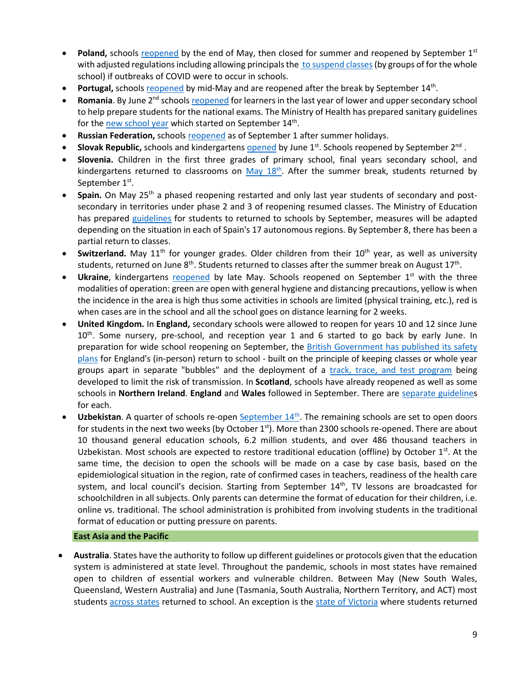- **Poland,** schools [reopened](https://www.bbc.com/news/world-europe-52796699) by the end of May, then closed for summer and reopened by September 1st with adjusted regulations including allowing principals th[e to suspend classes](https://www.gov.pl/web/edukacja/bezpieczny-powrot-do-szkol-dzialania-men-w-organizacji-roku-szkolnego-20202021-w-warunkach-epidemii) (by groups of for the whole school) if outbreaks of COVID were to occur in schools.
- Portugal, school[s reopened](https://www.theportugalnews.com/news/restaurants-cafes-daycare-centres-and-schools-reopen-on-monday/54168) by mid-May and are reopened after the break by September 14<sup>th</sup>.
- **Romania**. By June 2<sup>nd</sup> schools [reopened](https://www.cedefop.europa.eu/en/news-and-press/news/romania-responses-covid-19-outbreak) for learners in the last year of lower and upper secondary school to help prepare students for the national exams. The Ministry of Health has prepared sanitary guidelines for the **new school year** which started on September 14<sup>th</sup>.
- **Russian Federation,** schools [reopened](https://www.themoscowtimes.com/2020/09/01/russian-schools-reopen-as-coronavirus-cases-climb-a71301) as of September 1 after summer holidays.
- Slovak Republic, schools and kindergartens **opened** by June 1<sup>st</sup>. Schools reopened by September 2<sup>nd</sup>.
- **Slovenia.** Children in the first three grades of primary school, final years secondary school, and kindergartens returned to classrooms on [May 18](https://www.total-slovenia-news.com/lifestyle/6142-slovenian-schools-kindergartens-start-re-opening-18-may)<sup>th</sup>. After the summer break, students returned by September 1st.
- **Spain.** On May 25<sup>th</sup> a phased reopening restarted and only last year students of secondary and postsecondary in territories under phase 2 and 3 of reopening resumed classes. The Ministry of Education has prepared [guidelines](https://www.lamoncloa.gob.es/serviciosdeprensa/notasprensa/educacion/Documents/2020/230620-Guia-educacion.pdf) for students to returned to schools by September, measures will be adapted depending on the situation in each of Spain's 17 autonomous regions. By September 8, there has been a partial return to classes.
- **Switzerland.** May 11<sup>th</sup> for younger grades. Older children from their 10<sup>th</sup> year, as well as university students, returned on June 8<sup>th</sup>. Students returned to classes after the summer break on August 17<sup>th</sup>.
- **Ukraine**, kindergartens [reopened](https://www.thenationalherald.com/coronavirus/arthro/schools_subways_open_in_ukraine_as_lockdown_lifted-347116/) by late May. Schools reopened on September 1<sup>st</sup> with the three modalities of operation: green are open with general hygiene and distancing precautions, yellow is when the incidence in the area is high thus some activities in schools are limited (physical training, etc.), red is when cases are in the school and all the school goes on distance learning for 2 weeks.
- **United Kingdom.** In **England,** secondary schools were allowed to reopen for years 10 and 12 since June  $10<sup>th</sup>$ . Some nursery, pre-school, and reception year 1 and 6 started to go back by early June. In preparation for wide school reopening on September, the British Government has published its safety [plans](https://www.bbc.com/news/education-53253722) for England's (in-person) return to school - built on the principle of keeping classes or whole year groups apart in separate "bubbles" and the deployment of a [track, trace, and test program](https://www.bbc.com/news/uk-northern-ireland-53578636) being developed to limit the risk of transmission. In **Scotland**, schools have already reopened as well as some schools in **Northern Ireland**. **England** and **Wales** followed in September. There are [separate guidelines](https://www.bbc.com/news/education-51643556) for each.
- Uzbekistan. A quarter of schools re-open **[September 14](https://www.gazeta.uz/ru/2020/08/25/school-education/?utm_source=push&utm_medium=telegram)<sup>th</sup>**. The remaining schools are set to open doors for students in the next two weeks (by October  $1<sup>st</sup>$ ). More than 2300 schools re-opened. There are about 10 thousand general education schools, 6.2 million students, and over 486 thousand teachers in Uzbekistan. Most schools are expected to restore traditional education (offline) by October  $1<sup>st</sup>$ . At the same time, the decision to open the schools will be made on a case by case basis, based on the epidemiological situation in the region, rate of confirmed cases in teachers, readiness of the health care system, and local council's decision. Starting from September  $14<sup>th</sup>$ , TV lessons are broadcasted for schoolchildren in all subjects. Only parents can determine the format of education for their children, i.e. online vs. traditional. The school administration is prohibited from involving students in the traditional format of education or putting pressure on parents.

## **East Asia and the Pacific**

• **Australia**. States have the authority to follow up different guidelines or protocols given that the education system is administered at state level. Throughout the pandemic, schools in most states have remained open to children of essential workers and vulnerable children. Between May (New South Wales, Queensland, Western Australia) and June (Tasmania, South Australia, Northern Territory, and ACT) most students [across states](https://www.theguardian.com/australia-news/2020/aug/26/australia-covid-19-lockdown-rules-coronavirus-restrictions-by-state-how-far-can-travel-interstate-border-social-distancing-nsw-victoria-vic-queensland-qld-wa-sa-act-how-many-people-over-house) returned to school. An exception is the [state of Victoria](https://www.education.vic.gov.au/about/department/Pages/coronavirus.aspx) where students returned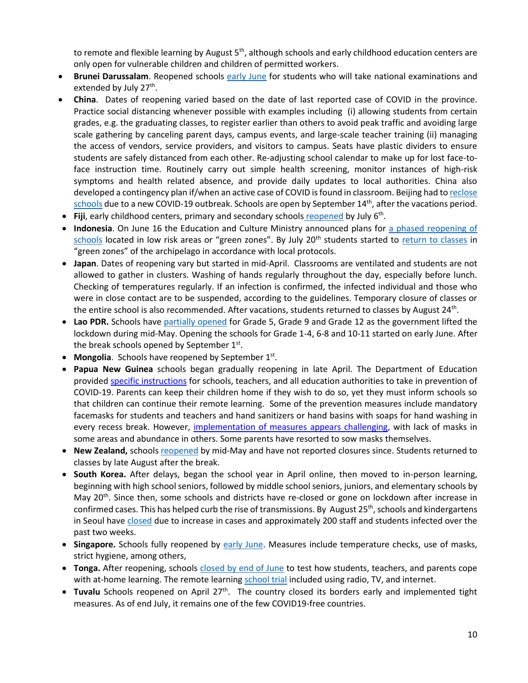to remote and flexible learning by August 5<sup>th</sup>, although schools and early childhood education centers are only open for vulnerable children and children of permitted workers.

- **Brunei Darussalam**. Reopened schools [early June](https://thescoop.co/2020/05/21/brunei-partially-reopens-schools-on-june-2-as-coronavirus-concerns-ease/) for students who will take national examinations and extended by July 27<sup>th</sup>.
- **China**. Dates of reopening varied based on the date of last reported case of COVID in the province. Practice social distancing whenever possible with examples including (i) allowing students from certain grades, e.g. the graduating classes, to register earlier than others to avoid peak traffic and avoiding large scale gathering by canceling parent days, campus events, and large-scale teacher training (ii) managing the access of vendors, service providers, and visitors to campus. Seats have plastic dividers to ensure students are safely distanced from each other. Re-adjusting school calendar to make up for lost face-toface instruction time. Routinely carry out simple health screening, monitor instances of high-risk symptoms and health related absence, and provide daily updates to local authorities. China also developed a contingency plan if/when an active case of COVID is found in classroom. Beijing had t[o reclose](https://www.nytimes.com/2020/06/17/world/asia/coronavirus-beijing-china.html)  [schools](https://www.nytimes.com/2020/06/17/world/asia/coronavirus-beijing-china.html) due to a new COVID-19 outbreak. Schools are open by September  $14<sup>th</sup>$ , after the vacations period.
- Fiji, early childhood centers, primary and secondary schools **[reopened](https://www.fbcnews.com.fj/news/covid-19/decision-to-reopen-schools-not-rushed/)** by July 6<sup>th</sup>.
- **Indonesia**. On June 16 the Education and Culture Ministry announced plans for [a phased reopening](https://www.thejakartapost.com/news/2020/06/16/indonesia-to-allow-phased-reopening-of-schools-in-covid-19-green-zones-minister.html) of [schools](https://www.thejakartapost.com/news/2020/06/16/indonesia-to-allow-phased-reopening-of-schools-in-covid-19-green-zones-minister.html) located in low risk areas or "green zones". By July 20<sup>th</sup> students started to [return to classes](https://www.thejakartapost.com/news/2020/07/16/schools-could-become-new-clusters-of-covid-19-transmission-indonesian-red-cross.html) in "green zones" of the archipelago in accordance with local protocols.
- **Japan**. Dates of reopening vary but started in mid-April. Classrooms are ventilated and students are not allowed to gather in clusters. Washing of hands regularly throughout the day, especially before lunch. Checking of temperatures regularly. If an infection is confirmed, the infected individual and those who were in close contact are to be suspended, according to the guidelines. Temporary closure of classes or the entire school is also recommended. After vacations, students returned to classes by August 24<sup>th</sup>.
- **Lao PDR.** Schools have [partially opened](https://www.unicef.org/laos/stories/safely-back-school) for Grade 5, Grade 9 and Grade 12 as the government lifted the lockdown during mid-May. Opening the schools for Grade 1-4, 6-8 and 10-11 started on early June. After the break schools opened by September  $1<sup>st</sup>$ .
- Mongolia. Schools have reopened by September 1<sup>st</sup>.
- **Papua New Guinea** schools began gradually reopening in late April. The Department of Education provided [specific instructions](https://covid19.info.gov.pg/files/28042020/Secretary%20Circular%20Instruction%205%20of%202020.pdf.pdf) for schools, teachers, and all education authorities to take in prevention of COVID-19. Parents can keep their children home if they wish to do so, yet they must inform schools so that children can continue their remote learning. Some of the prevention measures include mandatory facemasks for students and teachers and hand sanitizers or hand basins with soaps for hand washing in every recess break. However, [implementation of measures appears challenging,](https://www.rnz.co.nz/international/pacific-news/416597/png-schools-adjust-to-new-normal) with lack of masks in some areas and abundance in others. Some parents have resorted to sow masks themselves.
- **New Zealand,** school[s reopened](https://www.theguardian.com/world/2020/may/11/ardern-announces-new-zealand-will-reopen-schools-offices-and-restaurants-this-week) by mid-May and have not reported closures since. Students returned to classes by late August after the break.
- **South Korea.** After delays, began the school year in April online, then moved to in-person learning, beginning with high school seniors, followed by middle school seniors, juniors, and elementary schools by May 20<sup>th</sup>. Since then, some schools and districts have re-closed or gone on lockdown after increase in confirmed cases. This has helped curb the rise of transmissions. By August 25<sup>th</sup>, schools and kindergartens in Seoul hav[e closed](https://www.bbc.com/news/world-asia-53901707) due to increase in cases and approximately 200 staff and students infected over the past two weeks.
- **Singapore.** Schools fully reopened by [early June.](https://www.usnews.com/news/world/articles/2020-06-02/schools-reopen-as-singapore-eases-lockdown-restrictions) Measures include temperature checks, use of masks, strict hygiene, among others,
- **Tonga.** After reopening, schools closed [by end of June](https://www.theguardian.com/world/2020/jun/17/coronavirus-in-the-pacific-weekly-briefing) to test how students, teachers, and parents cope with at-home learning. The remote learnin[g school trial](https://matangitonga.to/2020/06/30/students-enjoy-home-school-trial) included using radio, TV, and internet.
- **Tuvalu** Schools reopened on April 27<sup>th</sup>. The country closed its borders early and implemented tight measures. As of end July, it remains one of the few COVID19-free countries.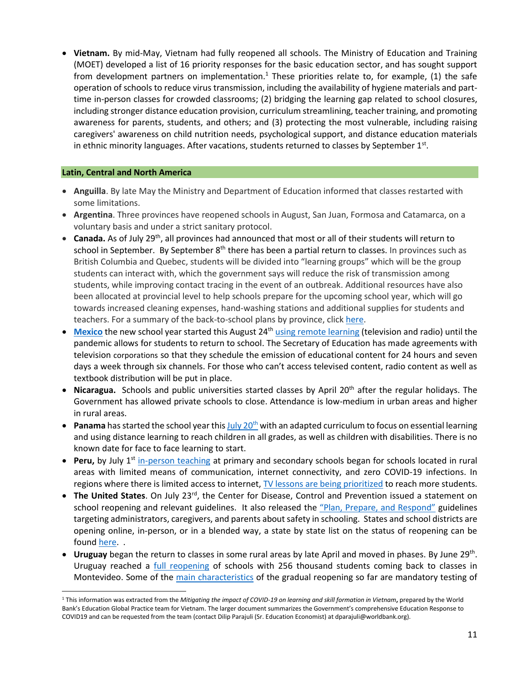• **Vietnam.** By mid-May, Vietnam had fully reopened all schools. The Ministry of Education and Training (MOET) developed a list of 16 priority responses for the basic education sector, and has sought support from development partners on implementation.<sup>1</sup> These priorities relate to, for example, (1) the safe operation of schools to reduce virus transmission, including the availability of hygiene materials and parttime in-person classes for crowded classrooms; (2) bridging the learning gap related to school closures, including stronger distance education provision, curriculum streamlining, teacher training, and promoting awareness for parents, students, and others; and (3) protecting the most vulnerable, including raising caregivers' awareness on child nutrition needs, psychological support, and distance education materials in ethnic minority languages. After vacations, students returned to classes by September  $1<sup>st</sup>$ .

### **Latin, Central and North America**

- **Anguilla**. By late May the Ministry and Department of Education informed that classes restarted with some limitations.
- **Argentina**. Three provinces have reopened schools in August, San Juan, Formosa and Catamarca, on a voluntary basis and under a strict sanitary protocol.
- **Canada.** As of July 29<sup>th</sup>, all provinces had announced that most or all of their students will return to school in September. By September 8<sup>th</sup> there has been a partial return to classes. In provinces such as British Columbia and Quebec, students will be divided into "learning groups" which will be the group students can interact with, which the government says will reduce the risk of transmission among students, while improving contact tracing in the event of an outbreak. Additional resources have also been allocated at provincial level to help schools prepare for the upcoming school year, which will go towards increased cleaning expenses, hand-washing stations and additional supplies for students and teachers. For a summary of the back-to-school plans by province, click [here.](https://www.ctvnews.ca/who-heads-back-to-class-in-september-a-look-at-school-reopenings-by-province-1.5042739)
- [Mexico](https://listindiario.com/las-mundiales/2020/08/03/629094/mexico-comenzara-el-nuevo-curso-escolar-a-distancia-el-24-de-agosto) the new school year started this August 24<sup>th</sup> [using remote learning](https://www.infobae.com/america/mexico/2020/08/13/sep-este-es-el-calendario-escolar-oficial-para-educacion-basica/#:~:text=El%20ciclo%20escolar%202020%2D2021,sin%20clases%20por%20labores%20administrativas.) (television and radio) until the pandemic allows for students to return to school. The Secretary of Education has made agreements with television corporations so that they schedule the emission of educational content for 24 hours and seven days a week through six channels. For those who can't access televised content, radio content as well as textbook distribution will be put in place.
- **Nicaragua.** Schools and public universities started classes by April 20<sup>th</sup> after the regular holidays. The Government has allowed private schools to close. Attendance is low-medium in urban areas and higher in rural areas.
- **Panama** has started the school year thi[s July 20](https://www.telemetro.com/nacionales/2020/07/20/panama-reinicia-ano-escolar-mediante/3060569.html)<sup>th</sup> with an adapted curriculum to focus on essential learning and using distance learning to reach children in all grades, as well as children with disabilities. There is no known date for face to face learning to start.
- **Peru,** by July 1<sup>st</sup> [in-person teaching](https://pe.usembassy.gov/covid-19-information/) at primary and secondary schools began for schools located in rural areas with limited means of communication, internet connectivity, and zero COVID-19 infections. In regions where there is limited access to internet, [TV lessons are being prioritized](https://www.nytimes.com/es/2020/08/17/espanol/educacion-television.html) to reach more students.
- The United States. On July 23<sup>rd</sup>, the Center for Disease, Control and Prevention issued a statement on school reopening and relevant guidelines. It also released the ["Plan, Prepare, and Respond"](https://www.cdc.gov/coronavirus/2019-ncov/community/schools-childcare/index.html) guidelines targeting administrators, caregivers, and parents about safety in schooling. States and school districts are opening online, in-person, or in a blended way, a state by state list on the status of reopening can be foun[d here.](https://www.today.com/parents/when-will-school-open-here-s-state-state-list-t179718) .
- Uruguay [began the return to classes](https://cnnespanol.cnn.com/video/escuelas-uruguay-normalidad-apertura-clases-adaptacion-perspectivas-buenos-aires-pkg-dario-klein/) in some rural areas by late April and moved in phases. By June 29<sup>th</sup>. Uruguay reached a [full reopening](https://www.infobae.com/america/america-latina/2020/06/29/uruguay-completa-la-reapertura-de-las-escuelas-256-mil-alumnos-vuelven-a-clase-en-montevideo/) of schools with 256 thousand students coming back to classes in Montevideo. Some of the [main characteristics](https://www.bbc.com/mundo/noticias-america-latina-53579960) of the gradual reopening so far are mandatory testing of

<sup>1</sup> This information was extracted from the *Mitigating the impact of COVID-19 on learning and skill formation in Vietnam***,** prepared by the World Bank's Education Global Practice team for Vietnam. The larger document summarizes the Government's comprehensive Education Response to COVID19 and can be requested from the team (contact Dilip Parajuli (Sr. Education Economist) at dparajuli@worldbank.org).